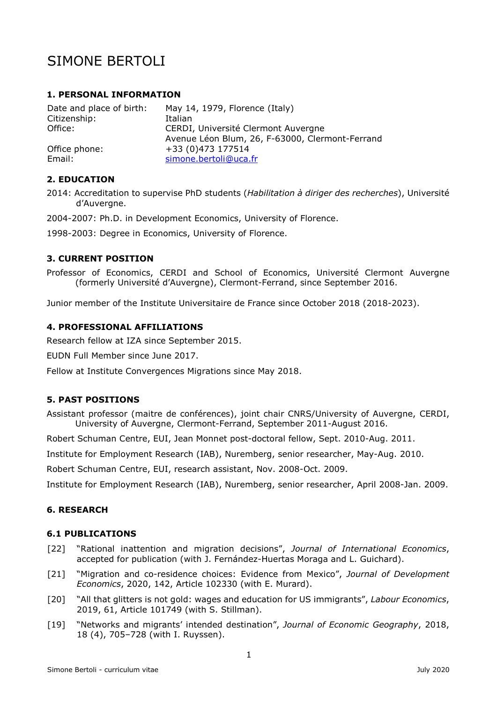# SIMONE BERTOLI

### **1. PERSONAL INFORMATION**

| Date and place of birth: | May 14, 1979, Florence (Italy)                  |  |
|--------------------------|-------------------------------------------------|--|
| Citizenship:             | Italian                                         |  |
| Office:                  | CERDI, Université Clermont Auvergne             |  |
|                          | Avenue Léon Blum, 26, F-63000, Clermont-Ferrand |  |
| Office phone:            | +33 (0)473 177514                               |  |
| Email:                   | simone.bertoli@uca.fr                           |  |

# **2. EDUCATION**

2014: Accreditation to supervise PhD students (*Habilitation à diriger des recherches*), Université d'Auvergne.

2004-2007: Ph.D. in Development Economics, University of Florence.

1998-2003: Degree in Economics, University of Florence.

#### **3. CURRENT POSITION**

Professor of Economics, CERDI and School of Economics, Université Clermont Auvergne (formerly Université d'Auvergne), Clermont-Ferrand, since September 2016.

Junior member of the Institute Universitaire de France since October 2018 (2018-2023).

#### **4. PROFESSIONAL AFFILIATIONS**

Research fellow at IZA since September 2015.

EUDN Full Member since June 2017.

Fellow at Institute Convergences Migrations since May 2018.

# **5. PAST POSITIONS**

Assistant professor (maitre de conférences), joint chair CNRS/University of Auvergne, CERDI, University of Auvergne, Clermont-Ferrand, September 2011-August 2016.

Robert Schuman Centre, EUI, Jean Monnet post-doctoral fellow, Sept. 2010-Aug. 2011.

Institute for Employment Research (IAB), Nuremberg, senior researcher, May-Aug. 2010.

Robert Schuman Centre, EUI, research assistant, Nov. 2008-Oct. 2009.

Institute for Employment Research (IAB), Nuremberg, senior researcher, April 2008-Jan. 2009.

#### **6. RESEARCH**

#### **6.1 PUBLICATIONS**

- [22] "Rational inattention and migration decisions", *Journal of International Economics*, accepted for publication (with J. Fernández-Huertas Moraga and L. Guichard).
- [21] "Migration and co-residence choices: Evidence from Mexico", *Journal of Development Economics*, 2020, 142, Article 102330 (with E. Murard).
- [20] "All that glitters is not gold: wages and education for US immigrants", *Labour Economics*, 2019, 61, Article 101749 (with S. Stillman).
- [19] "Networks and migrants' intended destination", *Journal of Economic Geography*, 2018, 18 (4), 705–728 (with I. Ruyssen).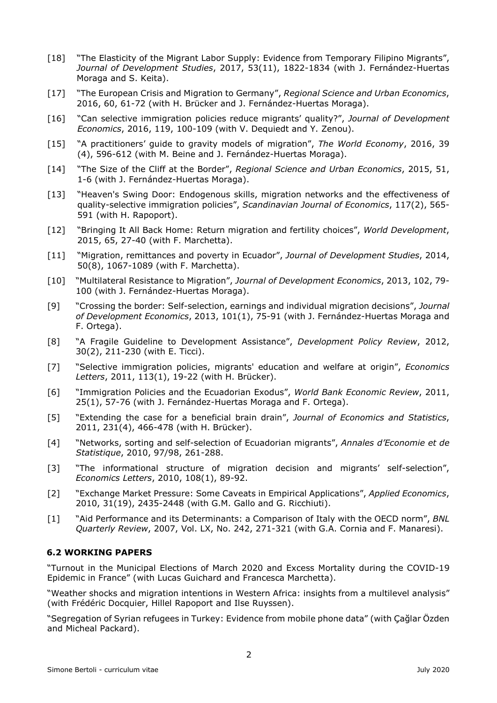- [18] "The Elasticity of the Migrant Labor Supply: Evidence from Temporary Filipino Migrants", *Journal of Development Studies*, 2017, 53(11), 1822-1834 (with J. Fernández-Huertas Moraga and S. Keita).
- [17] "The European Crisis and Migration to Germany", *Regional Science and Urban Economics*, 2016, 60, 61-72 (with H. Brücker and J. Fernández-Huertas Moraga).
- [16] "Can selective immigration policies reduce migrants' quality?", *Journal of Development Economics*, 2016, 119, 100-109 (with V. Dequiedt and Y. Zenou).
- [15] "A practitioners' guide to gravity models of migration", *The World Economy*, 2016, 39 (4), 596-612 (with M. Beine and J. Fernández-Huertas Moraga).
- [14] "The Size of the Cliff at the Border", *Regional Science and Urban Economics*, 2015, 51, 1-6 (with J. Fernández-Huertas Moraga).
- [13] "Heaven's Swing Door: Endogenous skills, migration networks and the effectiveness of quality-selective immigration policies", *Scandinavian Journal of Economics*, 117(2), 565- 591 (with H. Rapoport).
- [12] "Bringing It All Back Home: Return migration and fertility choices", *World Development*, 2015, 65, 27-40 (with F. Marchetta).
- [11] "Migration, remittances and poverty in Ecuador", *Journal of Development Studies*, 2014, 50(8), 1067-1089 (with F. Marchetta).
- [10] "Multilateral Resistance to Migration", *Journal of Development Economics*, 2013, 102, 79- 100 (with J. Fernández-Huertas Moraga).
- [9] "Crossing the border: Self-selection, earnings and individual migration decisions", *Journal of Development Economics*, 2013, 101(1), 75-91 (with J. Fernández-Huertas Moraga and F. Ortega).
- [8] "A Fragile Guideline to Development Assistance", *Development Policy Review*, 2012, 30(2), 211-230 (with E. Ticci).
- [7] "Selective immigration policies, migrants' education and welfare at origin", *Economics Letters*, 2011, 113(1), 19-22 (with H. Brücker).
- [6] "Immigration Policies and the Ecuadorian Exodus", *World Bank Economic Review*, 2011, 25(1), 57-76 (with J. Fernández-Huertas Moraga and F. Ortega).
- [5] "Extending the case for a beneficial brain drain", *Journal of Economics and Statistics*, 2011, 231(4), 466-478 (with H. Brücker).
- [4] "Networks, sorting and self-selection of Ecuadorian migrants", *Annales d'Economie et de Statistique*, 2010, 97/98, 261-288.
- [3] "The informational structure of migration decision and migrants' self-selection", *Economics Letters*, 2010, 108(1), 89-92.
- [2] "Exchange Market Pressure: Some Caveats in Empirical Applications", *Applied Economics*, 2010, 31(19), 2435-2448 (with G.M. Gallo and G. Ricchiuti).
- [1] "Aid Performance and its Determinants: a Comparison of Italy with the OECD norm", *BNL Quarterly Review*, 2007, Vol. LX, No. 242, 271-321 (with G.A. Cornia and F. Manaresi).

# **6.2 WORKING PAPERS**

"Turnout in the Municipal Elections of March 2020 and Excess Mortality during the COVID-19 Epidemic in France" (with Lucas Guichard and Francesca Marchetta).

"Weather shocks and migration intentions in Western Africa: insights from a multilevel analysis" (with Frédéric Docquier, Hillel Rapoport and Ilse Ruyssen).

"Segregation of Syrian refugees in Turkey: Evidence from mobile phone data" (with Çağlar Özden and Micheal Packard).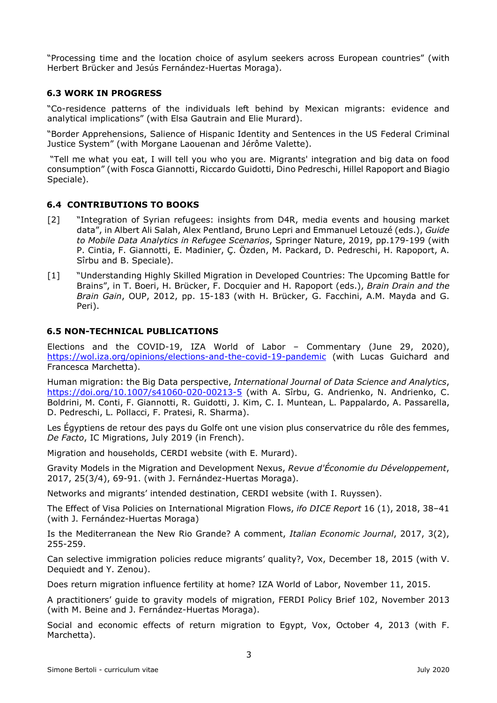"Processing time and the location choice of asylum seekers across European countries" (with Herbert Brücker and Jesús Fernández-Huertas Moraga).

### **6.3 WORK IN PROGRESS**

"Co-residence patterns of the individuals left behind by Mexican migrants: evidence and analytical implications" (with Elsa Gautrain and Elie Murard).

"Border Apprehensions, Salience of Hispanic Identity and Sentences in the US Federal Criminal Justice System" (with Morgane Laouenan and Jérôme Valette).

 "Tell me what you eat, I will tell you who you are. Migrants' integration and big data on food consumption" (with Fosca Giannotti, Riccardo Guidotti, Dino Pedreschi, Hillel Rapoport and Biagio Speciale).

#### **6.4 CONTRIBUTIONS TO BOOKS**

- [2] "Integration of Syrian refugees: insights from D4R, media events and housing market data", in Albert Ali Salah, Alex Pentland, Bruno Lepri and Emmanuel Letouzé (eds.), *Guide to Mobile Data Analytics in Refugee Scenarios*, Springer Nature, 2019, pp.179-199 (with P. Cintia, F. Giannotti, E. Madinier, Ç. Özden, M. Packard, D. Pedreschi, H. Rapoport, A. Sîrbu and B. Speciale).
- [1]"Understanding Highly Skilled Migration in Developed Countries: The Upcoming Battle for Brains", in T. Boeri, H. Brücker, F. Docquier and H. Rapoport (eds.), *Brain Drain and the Brain Gain*, OUP, 2012, pp. 15-183 (with H. Brücker, G. Facchini, A.M. Mayda and G. Peri).

#### **6.5 NON-TECHNICAL PUBLICATIONS**

Elections and the COVID-19, IZA World of Labor – Commentary (June 29, 2020), https://wol.iza.org/opinions/elections-and-the-covid-19-pandemic (with Lucas Guichard and Francesca Marchetta).

Human migration: the Big Data perspective, *International Journal of Data Science and Analytics*, https://doi.org/10.1007/s41060-020-00213-5 (with A. Sîrbu, G. Andrienko, N. Andrienko, C. Boldrini, M. Conti, F. Giannotti, R. Guidotti, J. Kim, C. I. Muntean, L. Pappalardo, A. Passarella, D. Pedreschi, L. Pollacci, F. Pratesi, R. Sharma).

Les Égyptiens de retour des pays du Golfe ont une vision plus conservatrice du rôle des femmes, *De Facto*, IC Migrations, July 2019 (in French).

Migration and households, CERDI website (with E. Murard).

Gravity Models in the Migration and Development Nexus, *Revue d'Économie du Développement*, 2017, 25(3/4), 69-91. (with J. Fernández-Huertas Moraga).

Networks and migrants' intended destination, CERDI website (with I. Ruyssen).

The Effect of Visa Policies on International Migration Flows, *ifo DICE Report* 16 (1), 2018, 38–41 (with J. Fernández-Huertas Moraga)

Is the Mediterranean the New Rio Grande? A comment, *Italian Economic Journal*, 2017, 3(2), 255-259.

Can selective immigration policies reduce migrants' quality?, Vox, December 18, 2015 (with V. Dequiedt and Y. Zenou).

Does return migration influence fertility at home? IZA World of Labor, November 11, 2015.

A practitioners' guide to gravity models of migration, FERDI Policy Brief 102, November 2013 (with M. Beine and J. Fernández-Huertas Moraga).

Social and economic effects of return migration to Egypt, Vox, October 4, 2013 (with F. Marchetta).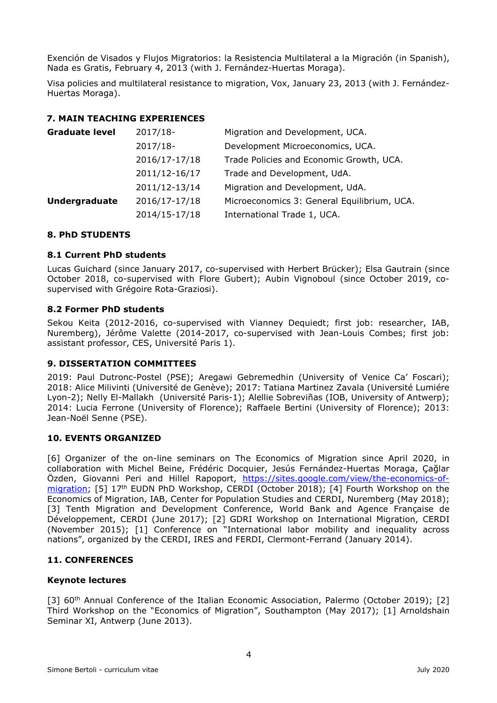Exención de Visados y Flujos Migratorios: la Resistencia Multilateral a la Migración (in Spanish), Nada es Gratis, February 4, 2013 (with J. Fernández-Huertas Moraga).

Visa policies and multilateral resistance to migration, Vox, January 23, 2013 (with J. Fernández-Huertas Moraga).

# **7. MAIN TEACHING EXPERIENCES**

| <b>Graduate level</b> | 2017/18-      | Migration and Development, UCA.             |
|-----------------------|---------------|---------------------------------------------|
|                       | 2017/18-      | Development Microeconomics, UCA.            |
|                       | 2016/17-17/18 | Trade Policies and Economic Growth, UCA.    |
|                       | 2011/12-16/17 | Trade and Development, UdA.                 |
|                       | 2011/12-13/14 | Migration and Development, UdA.             |
| <b>Undergraduate</b>  | 2016/17-17/18 | Microeconomics 3: General Equilibrium, UCA. |
|                       | 2014/15-17/18 | International Trade 1, UCA.                 |

# **8. PhD STUDENTS**

#### **8.1 Current PhD students**

Lucas Guichard (since January 2017, co-supervised with Herbert Brücker); Elsa Gautrain (since October 2018, co-supervised with Flore Gubert); Aubin Vignoboul (since October 2019, cosupervised with Grégoire Rota-Graziosi).

#### **8.2 Former PhD students**

Sekou Keita (2012-2016, co-supervised with Vianney Dequiedt; first job: researcher, IAB, Nuremberg), Jérôme Valette (2014-2017, co-supervised with Jean-Louis Combes; first job: assistant professor, CES, Université Paris 1).

# **9. DISSERTATION COMMITTEES**

2019: Paul Dutronc-Postel (PSE); Aregawi Gebremedhin (University of Venice Ca' Foscari); 2018: Alice Milivinti (Université de Genève); 2017: Tatiana Martinez Zavala (Université Lumiére Lyon-2); Nelly El-Mallakh (Université Paris-1); Alellie Sobreviñas (IOB, University of Antwerp); 2014: Lucia Ferrone (University of Florence); Raffaele Bertini (University of Florence); 2013: Jean-Noël Senne (PSE).

#### **10. EVENTS ORGANIZED**

[6] Organizer of the on-line seminars on The Economics of Migration since April 2020, in collaboration with Michel Beine, Frédéric Docquier, Jesús Fernández-Huertas Moraga, Çağlar Özden, Giovanni Peri and Hillel Rapoport, https://sites.google.com/view/the-economics-ofmigration; [5] 17<sup>th</sup> EUDN PhD Workshop, CERDI (October 2018); [4] Fourth Workshop on the Economics of Migration, IAB, Center for Population Studies and CERDI, Nuremberg (May 2018); [3] Tenth Migration and Development Conference, World Bank and Agence Française de Développement, CERDI (June 2017); [2] GDRI Workshop on International Migration, CERDI (November 2015); [1] Conference on "International labor mobility and inequality across nations", organized by the CERDI, IRES and FERDI, Clermont-Ferrand (January 2014).

#### **11. CONFERENCES**

#### **Keynote lectures**

[3] 60<sup>th</sup> Annual Conference of the Italian Economic Association, Palermo (October 2019); [2] Third Workshop on the "Economics of Migration", Southampton (May 2017); [1] Arnoldshain Seminar XI, Antwerp (June 2013).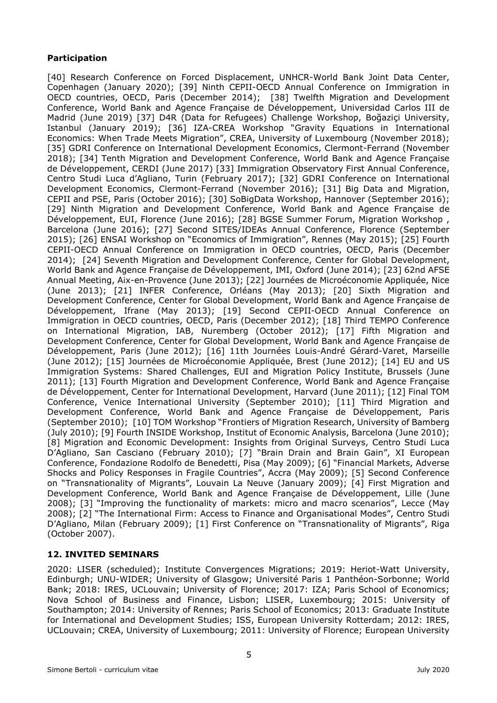### **Participation**

[40] Research Conference on Forced Displacement, UNHCR-World Bank Joint Data Center, Copenhagen (January 2020); [39] Ninth CEPII-OECD Annual Conference on Immigration in OECD countries, OECD, Paris (December 2014); [38] Twelfth Migration and Development Conference, World Bank and Agence Française de Développement, Universidad Carlos III de Madrid (June 2019) [37] D4R (Data for Refugees) Challenge Workshop, Boğaziçi University, Istanbul (January 2019); [36] IZA-CREA Workshop "Gravity Equations in International Economics: When Trade Meets Migration", CREA, University of Luxembourg (November 2018); [35] GDRI Conference on International Development Economics, Clermont-Ferrand (November 2018); [34] Tenth Migration and Development Conference, World Bank and Agence Française de Développement, CERDI (June 2017) [33] Immigration Observatory First Annual Conference, Centro Studi Luca d'Agliano, Turin (February 2017); [32] GDRI Conference on International Development Economics, Clermont-Ferrand (November 2016); [31] Big Data and Migration, CEPII and PSE, Paris (October 2016); [30] SoBigData Workshop, Hannover (September 2016); [29] Ninth Migration and Development Conference, World Bank and Agence Française de Développement, EUI, Florence (June 2016); [28] BGSE Summer Forum, Migration Workshop , Barcelona (June 2016); [27] Second SITES/IDEAs Annual Conference, Florence (September 2015); [26] ENSAI Workshop on "Economics of Immigration", Rennes (May 2015); [25] Fourth CEPII-OECD Annual Conference on Immigration in OECD countries, OECD, Paris (December 2014); [24] Seventh Migration and Development Conference, Center for Global Development, World Bank and Agence Française de Développement, IMI, Oxford (June 2014); [23] 62nd AFSE Annual Meeting, Aix-en-Provence (June 2013); [22] Journées de Microéconomie Appliquée, Nice (June 2013); [21] INFER Conference, Orléans (May 2013); [20] Sixth Migration and Development Conference, Center for Global Development, World Bank and Agence Française de Développement, Ifrane (May 2013); [19] Second CEPII-OECD Annual Conference on Immigration in OECD countries, OECD, Paris (December 2012); [18] Third TEMPO Conference on International Migration, IAB, Nuremberg (October 2012); [17] Fifth Migration and Development Conference, Center for Global Development, World Bank and Agence Française de Développement, Paris (June 2012); [16] 11th Journées Louis-André Gérard-Varet, Marseille (June 2012); [15] Journées de Microéconomie Appliquée, Brest (June 2012); [14] EU and US Immigration Systems: Shared Challenges, EUI and Migration Policy Institute, Brussels (June 2011); [13] Fourth Migration and Development Conference, World Bank and Agence Française de Développement, Center for International Development, Harvard (June 2011); [12] Final TOM Conference, Venice International University (September 2010); [11] Third Migration and Development Conference, World Bank and Agence Française de Développement, Paris (September 2010); [10] TOM Workshop "Frontiers of Migration Research, University of Bamberg (July 2010); [9] Fourth INSIDE Workshop, Institut of Economic Analysis, Barcelona (June 2010); [8] Migration and Economic Development: Insights from Original Surveys, Centro Studi Luca D'Agliano, San Casciano (February 2010); [7] "Brain Drain and Brain Gain", XI European Conference, Fondazione Rodolfo de Benedetti, Pisa (May 2009); [6] "Financial Markets, Adverse Shocks and Policy Responses in Fragile Countries", Accra (May 2009); [5] Second Conference on "Transnationality of Migrants", Louvain La Neuve (January 2009); [4] First Migration and Development Conference, World Bank and Agence Française de Développement, Lille (June 2008); [3] "Improving the functionality of markets: micro and macro scenarios", Lecce (May 2008); [2] "The International Firm: Access to Finance and Organisational Modes", Centro Studi D'Agliano, Milan (February 2009); [1] First Conference on "Transnationality of Migrants", Riga (October 2007).

# **12. INVITED SEMINARS**

2020: LISER (scheduled); Institute Convergences Migrations; 2019: Heriot-Watt University, Edinburgh; UNU-WIDER; University of Glasgow; Université Paris 1 Panthéon-Sorbonne; World Bank; 2018: IRES, UCLouvain; University of Florence; 2017: IZA; Paris School of Economics; Nova School of Business and Finance, Lisbon; LISER, Luxembourg; 2015: University of Southampton; 2014: University of Rennes; Paris School of Economics; 2013: Graduate Institute for International and Development Studies; ISS, European University Rotterdam; 2012: IRES, UCLouvain; CREA, University of Luxembourg; 2011: University of Florence; European University